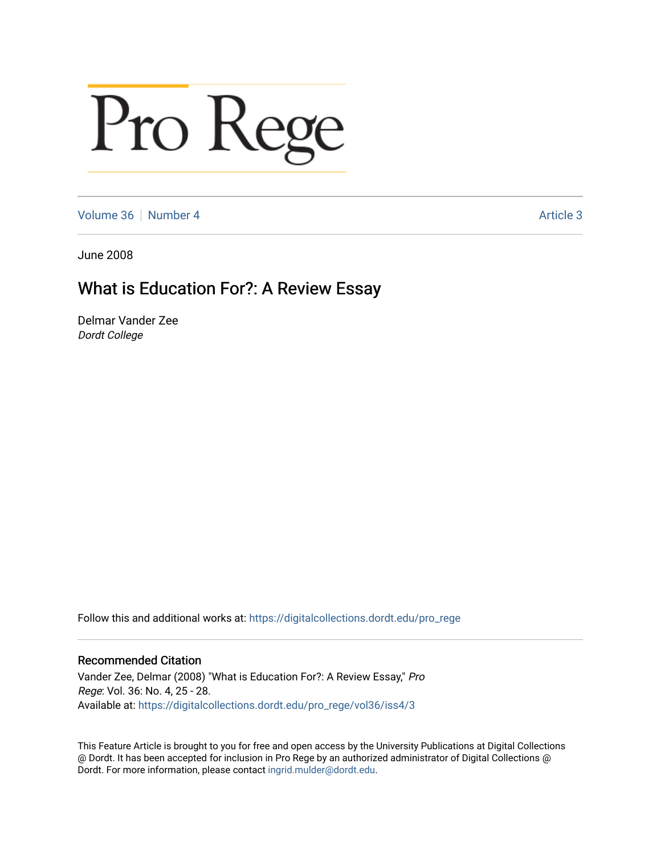# Pro Rege

[Volume 36](https://digitalcollections.dordt.edu/pro_rege/vol36) [Number 4](https://digitalcollections.dordt.edu/pro_rege/vol36/iss4) Article 3

June 2008

# What is Education For?: A Review Essay

Delmar Vander Zee Dordt College

Follow this and additional works at: [https://digitalcollections.dordt.edu/pro\\_rege](https://digitalcollections.dordt.edu/pro_rege?utm_source=digitalcollections.dordt.edu%2Fpro_rege%2Fvol36%2Fiss4%2F3&utm_medium=PDF&utm_campaign=PDFCoverPages) 

# Recommended Citation

Vander Zee, Delmar (2008) "What is Education For?: A Review Essay," Pro Rege: Vol. 36: No. 4, 25 - 28. Available at: [https://digitalcollections.dordt.edu/pro\\_rege/vol36/iss4/3](https://digitalcollections.dordt.edu/pro_rege/vol36/iss4/3?utm_source=digitalcollections.dordt.edu%2Fpro_rege%2Fvol36%2Fiss4%2F3&utm_medium=PDF&utm_campaign=PDFCoverPages) 

This Feature Article is brought to you for free and open access by the University Publications at Digital Collections @ Dordt. It has been accepted for inclusion in Pro Rege by an authorized administrator of Digital Collections @ Dordt. For more information, please contact [ingrid.mulder@dordt.edu.](mailto:ingrid.mulder@dordt.edu)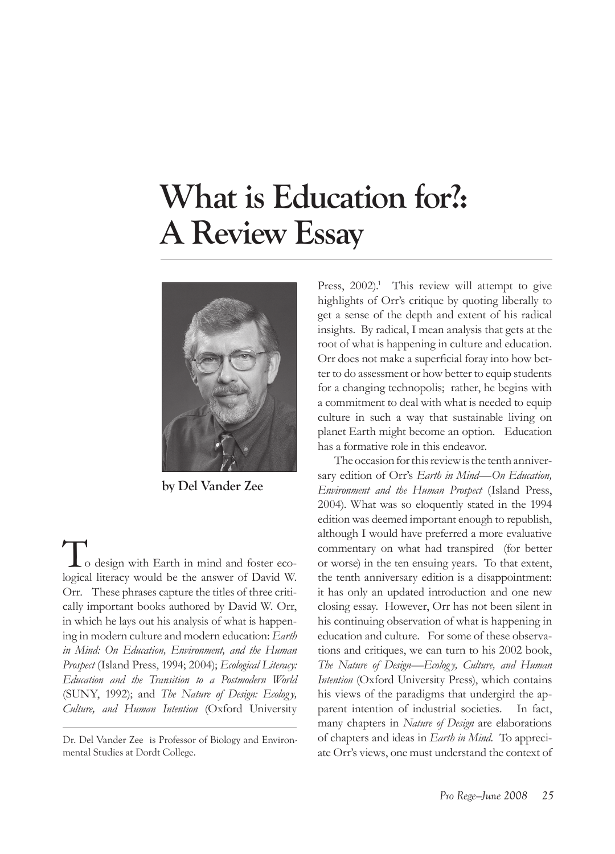# **What is Education for?: A Review Essay**



**by Del Vander Zee**

to design with Earth in mind and foster ecological literacy would be the answer of David W. Orr. These phrases capture the titles of three critically important books authored by David W. Orr, in which he lays out his analysis of what is happening in modern culture and modern education: *Earth in Mind: On Education, Environment, and the Human Prospect* (Island Press, 1994; 2004); *Ecological Literacy: Education and the Transition to a Postmodern World*  (SUNY, 1992); and *The Nature of Design: Ecology, Culture, and Human Intention* (Oxford University

Press,  $2002$ <sup>1</sup>. This review will attempt to give highlights of Orr's critique by quoting liberally to get a sense of the depth and extent of his radical insights. By radical, I mean analysis that gets at the root of what is happening in culture and education. Orr does not make a superficial foray into how better to do assessment or how better to equip students for a changing technopolis; rather, he begins with a commitment to deal with what is needed to equip culture in such a way that sustainable living on planet Earth might become an option. Education has a formative role in this endeavor.

The occasion for this review is the tenth anniversary edition of Orr's *Earth in Mind—On Education, Environment and the Human Prospect* (Island Press, 2004). What was so eloquently stated in the 1994 edition was deemed important enough to republish, although I would have preferred a more evaluative commentary on what had transpired (for better or worse) in the ten ensuing years. To that extent, the tenth anniversary edition is a disappointment: it has only an updated introduction and one new closing essay. However, Orr has not been silent in his continuing observation of what is happening in education and culture. For some of these observations and critiques, we can turn to his 2002 book, *The Nature of Design—Ecology, Culture, and Human Intention* (Oxford University Press), which contains his views of the paradigms that undergird the apparent intention of industrial societies. In fact, many chapters in *Nature of Design* are elaborations of chapters and ideas in *Earth in Mind.* To appreciate Orr's views, one must understand the context of

Dr. Del Vander Zee is Professor of Biology and Environmental Studies at Dordt College.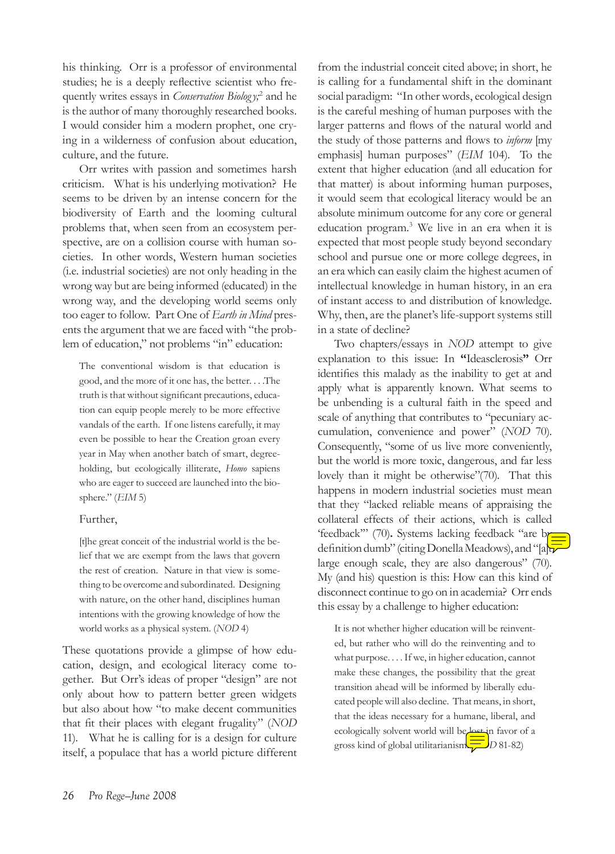his thinking. Orr is a professor of environmental studies; he is a deeply reflective scientist who frequently writes essays in *Conservation Biology;*<sup>2</sup> and he is the author of many thoroughly researched books. I would consider him a modern prophet, one crying in a wilderness of confusion about education, culture, and the future.

Orr writes with passion and sometimes harsh criticism. What is his underlying motivation? He seems to be driven by an intense concern for the biodiversity of Earth and the looming cultural problems that, when seen from an ecosystem perspective, are on a collision course with human societies. In other words, Western human societies (i.e. industrial societies) are not only heading in the wrong way but are being informed (educated) in the wrong way, and the developing world seems only too eager to follow. Part One of *Earth in Mind* presents the argument that we are faced with "the problem of education," not problems "in" education:

The conventional wisdom is that education is good, and the more of it one has, the better. . . .The truth is that without significant precautions, education can equip people merely to be more effective vandals of the earth. If one listens carefully, it may even be possible to hear the Creation groan every year in May when another batch of smart, degreeholding, but ecologically illiterate, *Homo* sapiens who are eager to succeed are launched into the biosphere." (*EIM* 5)

# Further,

[t]he great conceit of the industrial world is the belief that we are exempt from the laws that govern the rest of creation. Nature in that view is something to be overcome and subordinated. Designing with nature, on the other hand, disciplines human intentions with the growing knowledge of how the world works as a physical system. (*NOD* 4)

These quotations provide a glimpse of how education, design, and ecological literacy come together. But Orr's ideas of proper "design" are not only about how to pattern better green widgets but also about how "to make decent communities that fit their places with elegant frugality" (*NOD* 11). What he is calling for is a design for culture itself, a populace that has a world picture different

from the industrial conceit cited above; in short, he is calling for a fundamental shift in the dominant social paradigm: "In other words, ecological design is the careful meshing of human purposes with the larger patterns and flows of the natural world and the study of those patterns and flows to *inform* [my emphasis] human purposes" (*EIM* 104). To the extent that higher education (and all education for that matter) is about informing human purposes, it would seem that ecological literacy would be an absolute minimum outcome for any core or general education program.3 We live in an era when it is expected that most people study beyond secondary school and pursue one or more college degrees, in an era which can easily claim the highest acumen of intellectual knowledge in human history, in an era of instant access to and distribution of knowledge. Why, then, are the planet's life-support systems still in a state of decline?

Two chapters/essays in *NOD* attempt to give explanation to this issue: In **"**Ideasclerosis**"** Orr identifies this malady as the inability to get at and apply what is apparently known. What seems to be unbending is a cultural faith in the speed and scale of anything that contributes to "pecuniary accumulation, convenience and power" (*NOD* 70). Consequently, "some of us live more conveniently, but the world is more toxic, dangerous, and far less lovely than it might be otherwise"(70). That this happens in modern industrial societies must mean that they "lacked reliable means of appraising the collateral effects of their actions, which is called 'feedback'" (70)**.** Systems lacking feedback "are by definition dumb" (citing Donella Meadows), and "[a] $\overline{v}$ large enough scale, they are also dangerous" (70). My (and his) question is this: How can this kind of disconnect continue to go on in academia? Orr ends this essay by a challenge to higher education:

It is not whether higher education will be reinvented, but rather who will do the reinventing and to what purpose. . . . If we, in higher education, cannot make these changes, the possibility that the great transition ahead will be informed by liberally educated people will also decline. That means, in short, that the ideas necessary for a humane, liberal, and ecologically solvent world will be lost in favor of a gross kind of global utilitarianism. (*NOD* 81-82)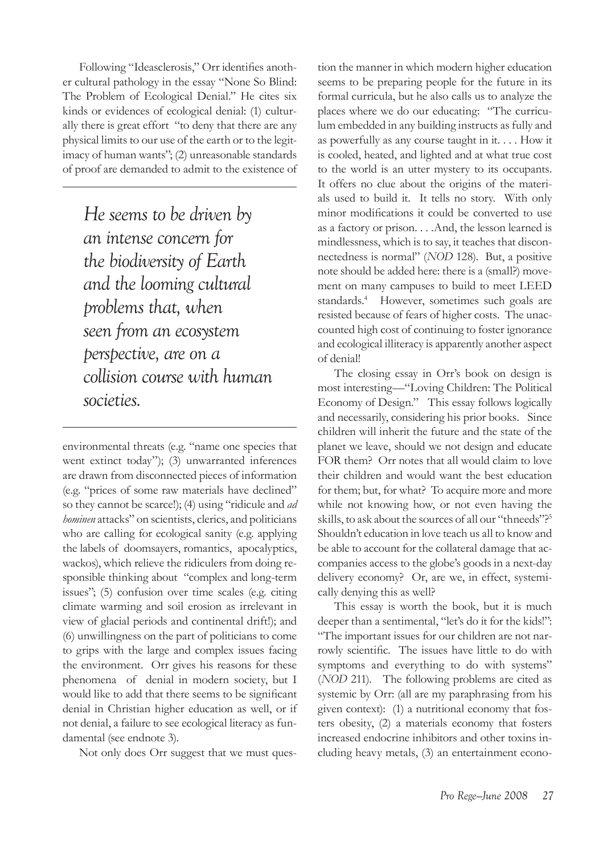Following "Ideasclerosis," Orr identifies another cultural pathology in the essay "None So Blind: The Problem of Ecological Denial." He cites six kinds or evidences of ecological denial: (1) culturally there is great effort "to deny that there are any physical limits to our use of the earth or to the legitimacy of human wants"; (2) unreasonable standards of proof are demanded to admit to the existence of

*He seems to be driven by an intense concern for the biodiversity of Earth and the looming cultural problems that, when seen from an ecosystem perspective, are on a collision course with human societies.*

environmental threats (e.g. "name one species that went extinct today"); (3) unwarranted inferences are drawn from disconnected pieces of information (e.g. "prices of some raw materials have declined" so they cannot be scarce!); (4) using "ridicule and *ad hominen* attacks" on scientists, clerics, and politicians who are calling for ecological sanity (e.g. applying the labels of doomsayers, romantics, apocalyptics, wackos), which relieve the ridiculers from doing responsible thinking about "complex and long-term issues"; (5) confusion over time scales (e.g. citing climate warming and soil erosion as irrelevant in view of glacial periods and continental drift!); and (6) unwillingness on the part of politicians to come to grips with the large and complex issues facing the environment. Orr gives his reasons for these phenomena of denial in modern society, but I would like to add that there seems to be significant denial in Christian higher education as well, or if not denial, a failure to see ecological literacy as fundamental (see endnote 3).

Not only does Orr suggest that we must ques-

tion the manner in which modern higher education seems to be preparing people for the future in its formal curricula, but he also calls us to analyze the places where we do our educating: "The curriculum embedded in any building instructs as fully and as powerfully as any course taught in it. . . . How it is cooled, heated, and lighted and at what true cost to the world is an utter mystery to its occupants. It offers no clue about the origins of the materials used to build it. It tells no story. With only minor modifications it could be converted to use as a factory or prison. . . .And, the lesson learned is mindlessness, which is to say, it teaches that disconnectedness is normal" (*NOD* 128). But, a positive note should be added here: there is a (small?) movement on many campuses to build to meet LEED standards.<sup>4</sup> However, sometimes such goals are resisted because of fears of higher costs. The unaccounted high cost of continuing to foster ignorance and ecological illiteracy is apparently another aspect of denial!

The closing essay in Orr's book on design is most interesting—"Loving Children: The Political Economy of Design." This essay follows logically and necessarily, considering his prior books. Since children will inherit the future and the state of the planet we leave, should we not design and educate FOR them? Orr notes that all would claim to love their children and would want the best education for them; but, for what? To acquire more and more while not knowing how, or not even having the skills, to ask about the sources of all our "thneeds"?<sup>5</sup> Shouldn't education in love teach us all to know and be able to account for the collateral damage that accompanies access to the globe's goods in a next-day delivery economy? Or, are we, in effect, systemically denying this as well?

This essay is worth the book, but it is much deeper than a sentimental, "let's do it for the kids!": "The important issues for our children are not narrowly scientific. The issues have little to do with symptoms and everything to do with systems" (*NOD* 211). The following problems are cited as systemic by Orr: (all are my paraphrasing from his given context): (1) a nutritional economy that fosters obesity, (2) a materials economy that fosters increased endocrine inhibitors and other toxins including heavy metals, (3) an entertainment econo